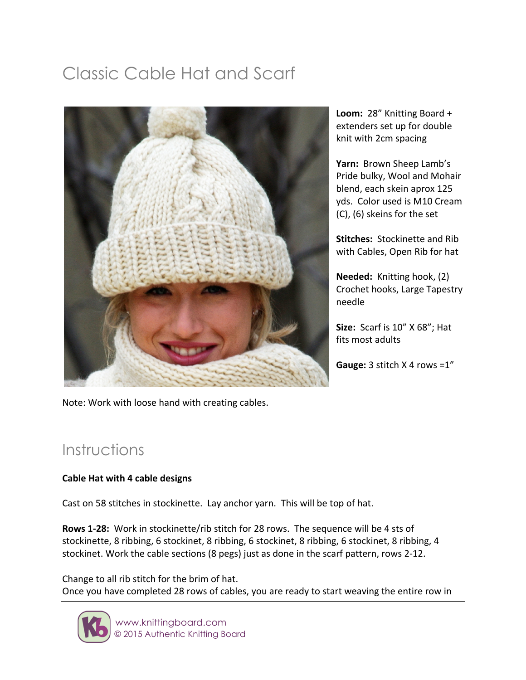# Classic Cable Hat and Scarf



Loom: 28" Knitting Board + extenders set up for double knit with 2cm spacing

Yarn: Brown Sheep Lamb's Pride bulky, Wool and Mohair blend, each skein aprox 125 yds. Color used is M10 Cream (C), (6) skeins for the set

**Stitches:** Stockinette and Rib with Cables, Open Rib for hat

**Needed:** Knitting hook, (2) Crochet hooks, Large Tapestry needle 

**Size:** Scarf is 10" X 68"; Hat fits most adults

**Gauge:** 3 stitch  $X$  4 rows = $1''$ 

Note: Work with loose hand with creating cables.

# Instructions

#### **Cable Hat with 4 cable designs**

Cast on 58 stitches in stockinette. Lay anchor yarn. This will be top of hat.

**Rows 1-28:** Work in stockinette/rib stitch for 28 rows. The sequence will be 4 sts of stockinette, 8 ribbing, 6 stockinet, 8 ribbing, 6 stockinet, 8 ribbing, 6 stockinet, 8 ribbing, 4 stockinet. Work the cable sections (8 pegs) just as done in the scarf pattern, rows 2-12.

Change to all rib stitch for the brim of hat. Once you have completed 28 rows of cables, you are ready to start weaving the entire row in

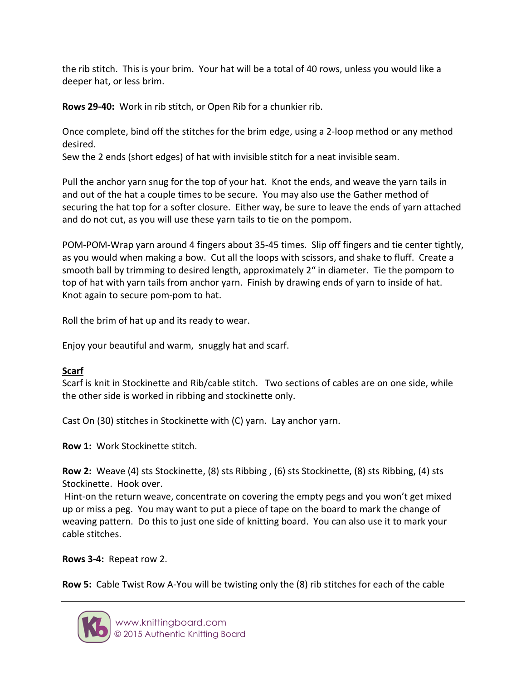the rib stitch. This is your brim. Your hat will be a total of 40 rows, unless you would like a deeper hat, or less brim.

**Rows 29-40:** Work in rib stitch, or Open Rib for a chunkier rib.

Once complete, bind off the stitches for the brim edge, using a 2-loop method or any method desired. 

Sew the 2 ends (short edges) of hat with invisible stitch for a neat invisible seam.

Pull the anchor yarn snug for the top of your hat. Knot the ends, and weave the yarn tails in and out of the hat a couple times to be secure. You may also use the Gather method of securing the hat top for a softer closure. Either way, be sure to leave the ends of yarn attached and do not cut, as you will use these yarn tails to tie on the pompom.

POM-POM-Wrap yarn around 4 fingers about 35-45 times. Slip off fingers and tie center tightly, as you would when making a bow. Cut all the loops with scissors, and shake to fluff. Create a smooth ball by trimming to desired length, approximately 2" in diameter. Tie the pompom to top of hat with yarn tails from anchor yarn. Finish by drawing ends of yarn to inside of hat. Knot again to secure pom-pom to hat.

Roll the brim of hat up and its ready to wear.

Enjoy your beautiful and warm, snuggly hat and scarf.

## **Scarf**

Scarf is knit in Stockinette and Rib/cable stitch. Two sections of cables are on one side, while the other side is worked in ribbing and stockinette only.

Cast On (30) stitches in Stockinette with (C) yarn. Lay anchor yarn.

**Row 1: Work Stockinette stitch.** 

**Row 2:** Weave (4) sts Stockinette, (8) sts Ribbing, (6) sts Stockinette, (8) sts Ribbing, (4) sts Stockinette. Hook over.

Hint-on the return weave, concentrate on covering the empty pegs and you won't get mixed up or miss a peg. You may want to put a piece of tape on the board to mark the change of weaving pattern. Do this to just one side of knitting board. You can also use it to mark your cable stitches.

## **Rows 3-4:** Repeat row 2.

**Row 5:** Cable Twist Row A-You will be twisting only the (8) rib stitches for each of the cable